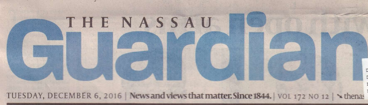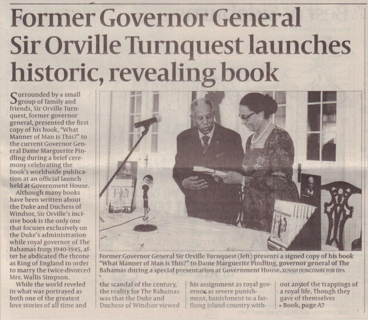## **Former Governor General Sir Orville Turnquest launches historic, revealing book**

Surrounded by a small<br>Sgroup of family and group of family and friends, Sir Orville Turnquest, former governor general, presented the first copy of his book, "What Manner of Man is This?" to the current Governor General Dame Marguerite Pindling during a brief ceremony celebrating the book's worldwide publication at an official launch held at Government House.

Although many hooks have been written about the Duke and Duchess of Windsor, Sir Orville's incisive hook is the only one that focuses exclusively on the Duke's administration while royal governor of The Bahamas from 1940-1945, after he abdicated the throne as King of England in order to marry the twice-divorced Mrs. Wallis Simpson.

While the world reveled in what was portrayed as both one of the greatest love stories of all time and



Former Governor General Sir Orville Turnquest (left) presents a signed copy of his hook "What Manner of Man is This?" to Dame Marguerite Pindling, governor general of The **Bahamas during a special presentation at Government House, KOVAH DUNCOMBE FOR DPA** 

the scandal of the century, the reality for The Bahamas was that the Duke and Duchess of Windsor viewed his assignment as royal governos as severe punishment, banishment to a farflung island country with-

out anyof the trappings of a royal life. Though they gave of themselves • Book, pageA7